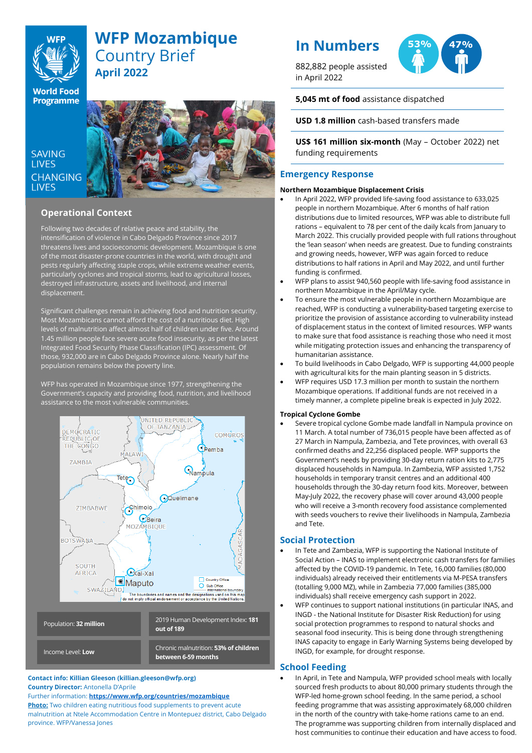

# **WFP Mozambique** Country Brief **April 2022**

**World Food Programme** 

SAVING **LIVES** CHANGING hfhhfhabbsad



## **Operational Context**

Following two decades of relative peace and stability, the intensification of violence in Cabo Delgado Province since 2017 threatens lives and socioeconomic development. Mozambique is one of the most disaster-prone countries in the world, with drought and pests regularly affecting staple crops, while extreme weather events, particularly cyclones and tropical storms, lead to agricultural losses, destroyed infrastructure, assets and livelihood, and internal displacement.

Significant challenges remain in achieving food and nutrition security. Most Mozambicans cannot afford the cost of a nutritious diet. High levels of malnutrition affect almost half of children under five. Around 1.45 million people face severe acute food insecurity, as per the latest Integrated Food Security Phase Classification (IPC) assessment. Of those, 932,000 are in Cabo Delgado Province alone. Nearly half the population remains below the poverty line.

WFP has operated in Mozambique since 1977, strengthening the Government's capacity and providing food, nutrition, and livelihood assistance to the most vulnerable communities.



## **Contact info: Killian Gleeson (killian.gleeson@wfp.org) Country Director:** Antonella D'Aprile

Further information: **<https://www.wfp.org/countries/mozambique> Photo:** Two children eating nutritious food supplements to prevent acute malnutrition at Ntele Accommodation Centre in Montepuez district, Cabo Delgado province. WFP/Vanessa Jones

# **In Numbers**

882,882 people assisted in April 2022



**53% 47%**

**5,045 mt of food** assistance dispatched

**USD 1.8 million** cash-based transfers made

**US\$ 161 million six-month** (May – October 2022) net funding requirements

## **Emergency Response**

## **Northern Mozambique Displacement Crisis**

- In April 2022, WFP provided life-saving food assistance to 633,025 people in northern Mozambique. After 6 months of half ration distributions due to limited resources, WFP was able to distribute full rations – equivalent to 78 per cent of the daily kcals from January to March 2022. This crucially provided people with full rations throughout the 'lean season' when needs are greatest. Due to funding constraints and growing needs, however, WFP was again forced to reduce distributions to half rations in April and May 2022, and until further funding is confirmed.
- WFP plans to assist 940,560 people with life-saving food assistance in northern Mozambique in the April/May cycle.
- To ensure the most vulnerable people in northern Mozambique are reached, WFP is conducting a vulnerability-based targeting exercise to prioritize the provision of assistance according to vulnerability instead of displacement status in the context of limited resources. WFP wants to make sure that food assistance is reaching those who need it most while mitigating protection issues and enhancing the transparency of humanitarian assistance.
- To build livelihoods in Cabo Delgado, WFP is supporting 44,000 people with agricultural kits for the main planting season in 5 districts.
- WFP requires USD 17.3 million per month to sustain the northern Mozambique operations. If additional funds are not received in a timely manner, a complete pipeline break is expected in July 2022.

## **Tropical Cyclone Gombe**

• Severe tropical cyclone Gombe made landfall in Nampula province on 11 March. A total number of 736,015 people have been affected as of 27 March in Nampula, Zambezia, and Tete provinces, with overall 63 confirmed deaths and 22,256 displaced people. WFP supports the Government's needs by providing 30-day return ration kits to 2,775 displaced households in Nampula. In Zambezia, WFP assisted 1,752 households in temporary transit centres and an additional 400 households through the 30-day return food kits. Moreover, between May-July 2022, the recovery phase will cover around 43,000 people who will receive a 3-month recovery food assistance complemented with seeds vouchers to revive their livelihoods in Nampula, Zambezia and Tete.

## **Social Protection**

- In Tete and Zambezia, WFP is supporting the National Institute of Social Action – INAS to implement electronic cash transfers for families affected by the COVID-19 pandemic. In Tete, 16,000 families (80,000 individuals) already received their entitlements via M-PESA transfers (totalling 9,000 MZ), while in Zambezia 77,000 families (385,000 individuals) shall receive emergency cash support in 2022.
- WFP continues to support national institutions (in particular INAS, and INGD - the National Institute for Disaster Risk Reduction) for using social protection programmes to respond to natural shocks and seasonal food insecurity. This is being done through strengthening INAS capacity to engage in Early Warning Systems being developed by INGD, for example, for drought response.

## **School Feeding**

• In April, in Tete and Nampula, WFP provided school meals with locally sourced fresh products to about 80,000 primary students through the WFP-led home-grown school feeding. In the same period, a school feeding programme that was assisting approximately 68,000 children in the north of the country with take-home rations came to an end. The programme was supporting children from internally displaced and host communities to continue their education and have access to food.